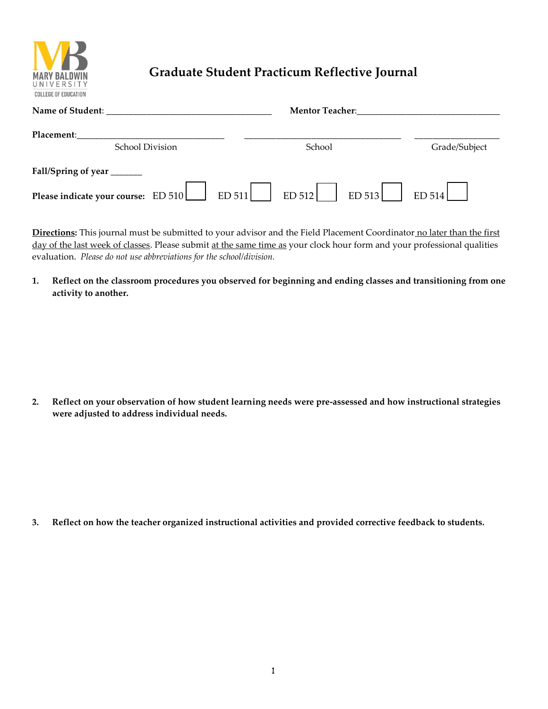

## **Graduate Student Practicum Reflective Journal**

| Name of Student:                                                       | <b>Mentor Teacher:</b> |               |
|------------------------------------------------------------------------|------------------------|---------------|
| Placement:                                                             |                        |               |
| <b>School Division</b>                                                 | School                 | Grade/Subject |
| Fall/Spring of year _______                                            |                        |               |
| Please indicate your course: ED 510 ED 511 ED 512 ED 512 ED 513 ED 514 |                        |               |

**Directions:** This journal must be submitted to your advisor and the Field Placement Coordinator no later than the first day of the last week of classes. Please submit at the same time as your clock hour form and your professional qualities evaluation. *Please do not use abbreviations for the school/division.*

**1. Reflect on the classroom procedures you observed for beginning and ending classes and transitioning from one activity to another.**

**2. Reflect on your observation of how student learning needs were pre-assessed and how instructional strategies were adjusted to address individual needs.**

**3. Reflect on how the teacher organized instructional activities and provided corrective feedback to students.**